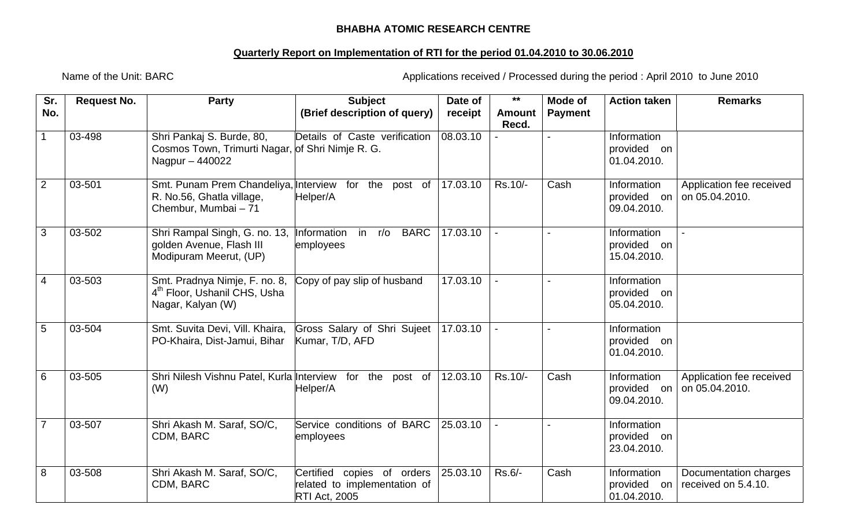## **BHABHA ATOMIC RESEARCH CENTRE**

## **Quarterly Report on Implementation of RTI for the period 01.04.2010 to 30.06.2010**

Name of the Unit: BARC **Applications received / Processed during the period : April 2010 to June 2010** 

| Sr.<br>No.      | <b>Request No.</b> | <b>Party</b>                                                                                               | <b>Subject</b><br>(Brief description of query)                                        | Date of<br>receipt | $***$<br><b>Amount</b> | Mode of<br><b>Payment</b> | <b>Action taken</b>                       | <b>Remarks</b>                               |
|-----------------|--------------------|------------------------------------------------------------------------------------------------------------|---------------------------------------------------------------------------------------|--------------------|------------------------|---------------------------|-------------------------------------------|----------------------------------------------|
| $\mathbf{1}$    | 03-498             | Shri Pankaj S. Burde, 80,<br>Cosmos Town, Trimurti Nagar, of Shri Nimje R. G.<br>Nagpur - 440022           | Details of Caste verification                                                         | 08.03.10           | Recd.                  |                           | Information<br>provided on<br>01.04.2010. |                                              |
| $\overline{2}$  | 03-501             | Smt. Punam Prem Chandeliya, Interview for the post of<br>R. No.56, Ghatla village,<br>Chembur, Mumbai - 71 | Helper/A                                                                              | 17.03.10           | Rs.10/-                | Cash                      | Information<br>provided on<br>09.04.2010. | Application fee received<br>on 05.04.2010.   |
| $\overline{3}$  | 03-502             | Shri Rampal Singh, G. no. 13,<br>golden Avenue, Flash III<br>Modipuram Meerut, (UP)                        | <b>BARC</b><br>Information in r/o<br>employees                                        | 17.03.10           |                        | $\overline{a}$            | Information<br>provided on<br>15.04.2010. |                                              |
| $\overline{4}$  | 03-503             | Smt. Pradnya Nimje, F. no. 8,<br>4 <sup>th</sup> Floor, Ushanil CHS, Usha<br>Nagar, Kalyan (W)             | Copy of pay slip of husband                                                           | 17.03.10           |                        | $\overline{a}$            | Information<br>provided on<br>05.04.2010. |                                              |
| $5\phantom{.0}$ | 03-504             | Smt. Suvita Devi, Vill. Khaira,<br>PO-Khaira, Dist-Jamui, Bihar                                            | Gross Salary of Shri Sujeet<br>Kumar, T/D, AFD                                        | 17.03.10           |                        |                           | Information<br>provided on<br>01.04.2010. |                                              |
| 6               | 03-505             | Shri Nilesh Vishnu Patel, Kurla Interview for the post of<br>(W)                                           | Helper/A                                                                              | 12.03.10           | Rs.10/-                | Cash                      | Information<br>provided on<br>09.04.2010. | Application fee received<br>on 05.04.2010.   |
| $\overline{7}$  | 03-507             | Shri Akash M. Saraf, SO/C,<br>CDM, BARC                                                                    | Service conditions of BARC<br>employees                                               | 25.03.10           |                        |                           | Information<br>provided on<br>23.04.2010. |                                              |
| 8               | 03-508             | Shri Akash M. Saraf, SO/C,<br>CDM, BARC                                                                    | Certified<br>copies of orders<br>related to implementation of<br><b>RTI Act, 2005</b> | 25.03.10           | Rs.6/-                 | Cash                      | Information<br>provided on<br>01.04.2010. | Documentation charges<br>received on 5.4.10. |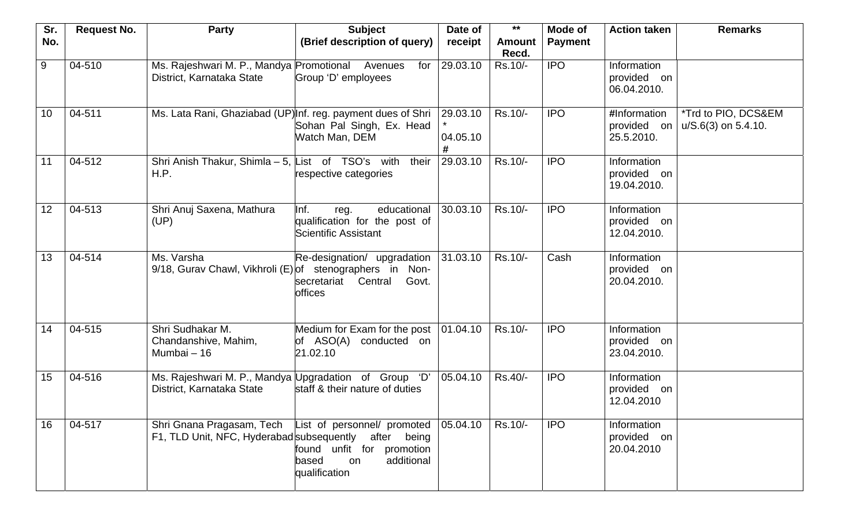| Sr. | <b>Request No.</b> | <b>Party</b>                                                                       | <b>Subject</b>                                                                                                  | Date of                   | $***$                  | Mode of        | <b>Action taken</b>                       | <b>Remarks</b>                               |
|-----|--------------------|------------------------------------------------------------------------------------|-----------------------------------------------------------------------------------------------------------------|---------------------------|------------------------|----------------|-------------------------------------------|----------------------------------------------|
| No. |                    |                                                                                    | (Brief description of query)                                                                                    | receipt                   | <b>Amount</b><br>Recd. | <b>Payment</b> |                                           |                                              |
| 9   | 04-510             | Ms. Rajeshwari M. P., Mandya Promotional<br>District, Karnataka State              | Avenues<br>for<br>Group 'D' employees                                                                           | 29.03.10                  | Rs.10/-                | <b>IPO</b>     | Information<br>provided on<br>06.04.2010. |                                              |
| 10  | 04-511             | Ms. Lata Rani, Ghaziabad (UP) Inf. reg. payment dues of Shri                       | Sohan Pal Singh, Ex. Head<br>Watch Man, DEM                                                                     | 29.03.10<br>04.05.10<br># | Rs.10/-                | <b>IPO</b>     | #Information<br>provided on<br>25.5.2010. | *Trd to PIO, DCS&EM<br>$u/S.6(3)$ on 5.4.10. |
| 11  | 04-512             | Shri Anish Thakur, Shimla $-5$ , List of TSO's with<br>H.P.                        | their<br>respective categories                                                                                  | 29.03.10                  | Rs.10/-                | <b>IPO</b>     | Information<br>provided on<br>19.04.2010. |                                              |
| 12  | 04-513             | Shri Anuj Saxena, Mathura<br>(UP)                                                  | Inf.<br>educational<br>reg.<br>qualification for the post of<br>Scientific Assistant                            | 30.03.10                  | Rs.10/-                | <b>IPO</b>     | Information<br>provided on<br>12.04.2010. |                                              |
| 13  | 04-514             | Ms. Varsha<br>9/18, Gurav Chawl, Vikhroli (E) of stenographers in Non-             | Re-designation/ upgradation<br>secretariat<br>Central<br>Govt.<br>offices                                       | 31.03.10                  | Rs.10/-                | Cash           | Information<br>provided on<br>20.04.2010. |                                              |
| 14  | 04-515             | Shri Sudhakar M.<br>Chandanshive, Mahim,<br>Mumbai - 16                            | Medium for Exam for the post<br>of ASO(A) conducted on<br>21.02.10                                              | 01.04.10                  | Rs.10/-                | <b>IPO</b>     | Information<br>provided on<br>23.04.2010. |                                              |
| 15  | 04-516             | Ms. Rajeshwari M. P., Mandya Upgradation of Group 'D'<br>District, Karnataka State | staff & their nature of duties                                                                                  | 05.04.10                  | Rs.40/-                | <b>IPO</b>     | Information<br>provided on<br>12.04.2010  |                                              |
| 16  | 04-517             | Shri Gnana Pragasam, Tech<br>F1, TLD Unit, NFC, Hyderabad subsequently after being | List of personnel/ promoted 05.04.10<br>found unfit for promotion<br>additional<br>based<br>on<br>qualification |                           | Rs.10/-                | <b>IPO</b>     | Information<br>provided on<br>20.04.2010  |                                              |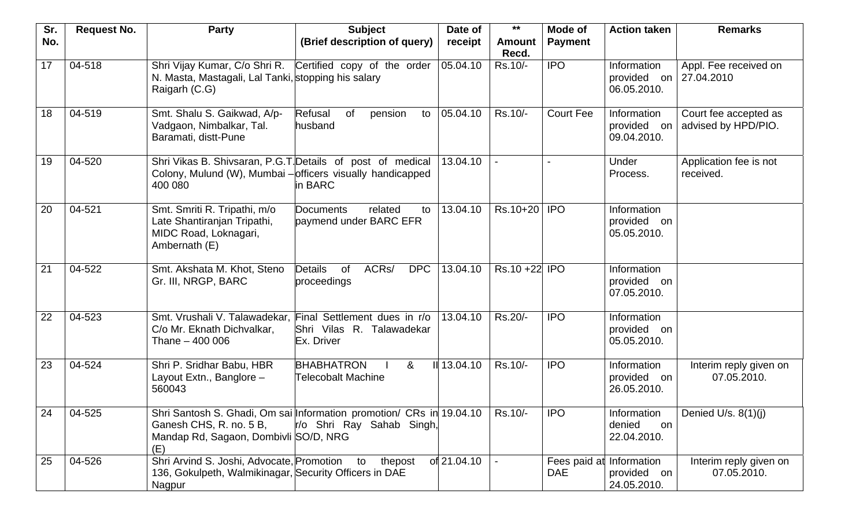| Sr. | <b>Request No.</b> | <b>Party</b>                                                                                                                        | <b>Subject</b>                                                                                    | Date of     | $***$                  | <b>Mode of</b>             | <b>Action taken</b>                          | <b>Remarks</b>                               |
|-----|--------------------|-------------------------------------------------------------------------------------------------------------------------------------|---------------------------------------------------------------------------------------------------|-------------|------------------------|----------------------------|----------------------------------------------|----------------------------------------------|
| No. |                    |                                                                                                                                     | (Brief description of query)                                                                      | receipt     | <b>Amount</b><br>Recd. | <b>Payment</b>             |                                              |                                              |
| 17  | 04-518             | Shri Vijay Kumar, C/o Shri R. Certified copy of the order<br>N. Masta, Mastagali, Lal Tanki, stopping his salary<br>Raigarh (C.G)   |                                                                                                   | 05.04.10    | Rs.10/-                | <b>IPO</b>                 | Information<br>provided on<br>06.05.2010.    | Appl. Fee received on<br>27.04.2010          |
| 18  | 04-519             | Smt. Shalu S. Gaikwad, A/p-<br>Vadgaon, Nimbalkar, Tal.<br>Baramati, distt-Pune                                                     | Refusal<br><b>of</b><br>pension<br>to<br>husband                                                  | 05.04.10    | Rs.10/-                | <b>Court Fee</b>           | Information<br>provided on<br>09.04.2010.    | Court fee accepted as<br>advised by HPD/PIO. |
| 19  | 04-520             | Shri Vikas B. Shivsaran, P.G.T. Details of post of medical<br>Colony, Mulund (W), Mumbai - officers visually handicapped<br>400 080 | in BARC                                                                                           | 13.04.10    |                        |                            | Under<br>Process.                            | Application fee is not<br>received.          |
| 20  | 04-521             | Smt. Smriti R. Tripathi, m/o<br>Late Shantiranjan Tripathi,<br>MIDC Road, Loknagari,<br>Ambernath (E)                               | related<br>Documents<br>to<br>paymend under BARC EFR                                              | 13.04.10    | Rs.10+20               | <b>IPO</b>                 | Information<br>provided<br>on<br>05.05.2010. |                                              |
| 21  | 04-522             | Smt. Akshata M. Khot, Steno<br>Gr. III, NRGP, BARC                                                                                  | ACR <sub>s</sub> /<br>Details<br>of<br><b>DPC</b><br>proceedings                                  | 13.04.10    | Rs.10 +22 IPO          |                            | Information<br>provided on<br>07.05.2010.    |                                              |
| 22  | 04-523             | Smt. Vrushali V. Talawadekar,<br>C/o Mr. Eknath Dichvalkar,<br>Thane - 400 006                                                      | Final Settlement dues in r/o<br>Shri Vilas R. Talawadekar<br>Ex. Driver                           | 13.04.10    | Rs.20/-                | <b>IPO</b>                 | Information<br>provided on<br>05.05.2010.    |                                              |
| 23  | 04-524             | Shri P. Sridhar Babu, HBR<br>Layout Extn., Banglore -<br>560043                                                                     | <b>BHABHATRON</b><br>&<br><b>Telecobalt Machine</b>                                               | II 13.04.10 | Rs.10/-                | <b>IPO</b>                 | Information<br>provided on<br>26.05.2010.    | Interim reply given on<br>07.05.2010.        |
| 24  | 04-525             | Ganesh CHS, R. no. 5 B,<br>Mandap Rd, Sagaon, Dombivli SO/D, NRG<br>(E)                                                             | Shri Santosh S. Ghadi, Om sai Information promotion/ CRs in 19.04.10<br>r/o Shri Ray Sahab Singh, |             | Rs.10/-                | <b>IPO</b>                 | Information<br>denied<br>on<br>22.04.2010.   | Denied U/s. 8(1)(j)                          |
| 25  | 04-526             | Shri Arvind S. Joshi, Advocate, Promotion<br>136, Gokulpeth, Walmikinagar, Security Officers in DAE<br>Nagpur                       | to<br>thepost                                                                                     | of 21.04.10 |                        | Fees paid at<br><b>DAE</b> | Information<br>provided on<br>24.05.2010.    | Interim reply given on<br>07.05.2010.        |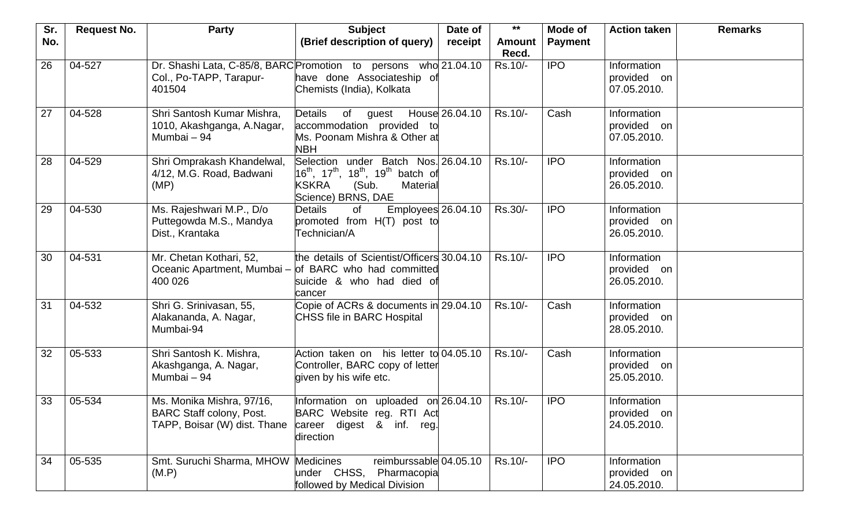| Sr. | <b>Request No.</b> | <b>Party</b>                                                                                 | <b>Subject</b>                                                                                                                                                                              | Date of        | $***$                  | Mode of        | <b>Action taken</b>                       | <b>Remarks</b> |
|-----|--------------------|----------------------------------------------------------------------------------------------|---------------------------------------------------------------------------------------------------------------------------------------------------------------------------------------------|----------------|------------------------|----------------|-------------------------------------------|----------------|
| No. |                    |                                                                                              | (Brief description of query)                                                                                                                                                                | receipt        | <b>Amount</b><br>Recd. | <b>Payment</b> |                                           |                |
| 26  | 04-527             | Col., Po-TAPP, Tarapur-<br>401504                                                            | Dr. Shashi Lata, C-85/8, BARC Promotion to persons who 21.04.10<br>have done Associateship of<br>Chemists (India), Kolkata                                                                  |                | Rs.10/-                | <b>IPO</b>     | Information<br>provided on<br>07.05.2010. |                |
| 27  | 04-528             | Shri Santosh Kumar Mishra,<br>1010, Akashganga, A.Nagar,<br>Mumbai - 94                      | <b>Details</b><br>of<br>guest<br>accommodation provided to<br>Ms. Poonam Mishra & Other at<br>NBH                                                                                           | House 26.04.10 | Rs.10/-                | Cash           | Information<br>provided on<br>07.05.2010. |                |
| 28  | 04-529             | Shri Omprakash Khandelwal,<br>4/12, M.G. Road, Badwani<br>(MP)                               | Selection under Batch Nos. 26.04.10<br>16 <sup>th</sup> , 17 <sup>th</sup> , 18 <sup>th</sup> , 19 <sup>th</sup> batch of<br><b>KSKRA</b><br>(Sub.<br><b>Material</b><br>Science) BRNS, DAE |                | Rs.10/-                | <b>IPO</b>     | Information<br>provided on<br>26.05.2010. |                |
| 29  | 04-530             | Ms. Rajeshwari M.P., D/o<br>Puttegowda M.S., Mandya<br>Dist., Krantaka                       | Employees 26.04.10<br><b>Details</b><br>of<br>promoted from H(T) post to<br>Technician/A                                                                                                    |                | Rs.30/-                | <b>IPO</b>     | Information<br>provided on<br>26.05.2010. |                |
| 30  | 04-531             | Mr. Chetan Kothari, 52,<br>400 026                                                           | the details of Scientist/Officers 30.04.10<br>Oceanic Apartment, Mumbai - of BARC who had committed<br>suicide & who had died of<br>cancer                                                  |                | Rs.10/-                | <b>IPO</b>     | Information<br>provided on<br>26.05.2010. |                |
| 31  | 04-532             | Shri G. Srinivasan, 55,<br>Alakananda, A. Nagar,<br>Mumbai-94                                | Copie of ACRs & documents in 29.04.10<br><b>CHSS file in BARC Hospital</b>                                                                                                                  |                | Rs.10/-                | Cash           | Information<br>provided on<br>28.05.2010. |                |
| 32  | 05-533             | Shri Santosh K. Mishra,<br>Akashganga, A. Nagar,<br>Mumbai - 94                              | Action taken on his letter to 04.05.10<br>Controller, BARC copy of letter<br>given by his wife etc.                                                                                         |                | Rs.10/-                | Cash           | Information<br>provided on<br>25.05.2010. |                |
| 33  | 05-534             | Ms. Monika Mishra, 97/16,<br><b>BARC Staff colony, Post.</b><br>TAPP, Boisar (W) dist. Thane | Information on uploaded on 26.04.10<br>BARC Website reg. RTI Act<br>career digest & inf. reg.<br>direction                                                                                  |                | Rs.10/-                | <b>IPO</b>     | Information<br>provided on<br>24.05.2010. |                |
| 34  | 05-535             | Smt. Suruchi Sharma, MHOW Medicines<br>(M.P)                                                 | reimburssable 04.05.10<br>under CHSS,<br>Pharmacopia<br>followed by Medical Division                                                                                                        |                | Rs.10/-                | <b>IPO</b>     | Information<br>provided on<br>24.05.2010. |                |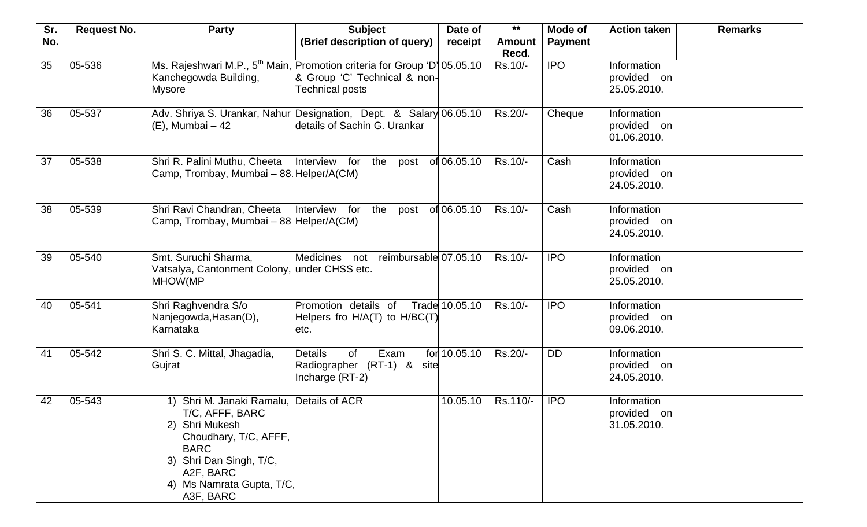| Sr. | <b>Request No.</b> | <b>Party</b>                                                                                                                                                                                            | <b>Subject</b>                                                                                                                          | Date of        | $***$                  | Mode of        | <b>Action taken</b>                       | <b>Remarks</b> |
|-----|--------------------|---------------------------------------------------------------------------------------------------------------------------------------------------------------------------------------------------------|-----------------------------------------------------------------------------------------------------------------------------------------|----------------|------------------------|----------------|-------------------------------------------|----------------|
| No. |                    |                                                                                                                                                                                                         | (Brief description of query)                                                                                                            | receipt        | <b>Amount</b><br>Recd. | <b>Payment</b> |                                           |                |
| 35  | 05-536             | Kanchegowda Building,<br><b>Mysore</b>                                                                                                                                                                  | Ms. Rajeshwari M.P., 5 <sup>th</sup> Main, Promotion criteria for Group 'D' 05.05.10<br>& Group 'C' Technical & non-<br>Technical posts |                | Rs.10/-                | <b>IPO</b>     | Information<br>provided on<br>25.05.2010. |                |
| 36  | 05-537             | (E), Mumbai - 42                                                                                                                                                                                        | Adv. Shriya S. Urankar, Nahur Designation, Dept. & Salary 06.05.10<br>details of Sachin G. Urankar                                      |                | Rs.20/-                | Cheque         | Information<br>provided on<br>01.06.2010. |                |
| 37  | 05-538             | Shri R. Palini Muthu, Cheeta<br>Camp, Trombay, Mumbai - 88. Helper/A(CM)                                                                                                                                | Interview for<br>the<br>post                                                                                                            | of 06.05.10    | Rs.10/-                | Cash           | Information<br>provided on<br>24.05.2010. |                |
| 38  | 05-539             | Shri Ravi Chandran, Cheeta<br>Camp, Trombay, Mumbai - 88 Helper/A(CM)                                                                                                                                   | Interview for<br>the<br>post                                                                                                            | of 06.05.10    | Rs.10/-                | Cash           | Information<br>provided on<br>24.05.2010. |                |
| 39  | 05-540             | Smt. Suruchi Sharma,<br>Vatsalya, Cantonment Colony, under CHSS etc.<br>MHOW(MP                                                                                                                         | Medicines not reimbursable 07.05.10                                                                                                     |                | Rs.10/-                | <b>IPO</b>     | Information<br>provided on<br>25.05.2010. |                |
| 40  | 05-541             | Shri Raghvendra S/o<br>Nanjegowda, Hasan(D),<br>Karnataka                                                                                                                                               | Promotion details of<br>Helpers fro H/A(T) to H/BC(T)<br>etc.                                                                           | Trade 10.05.10 | Rs.10/-                | <b>IPO</b>     | Information<br>provided on<br>09.06.2010. |                |
| 41  | 05-542             | Shri S. C. Mittal, Jhagadia,<br>Gujrat                                                                                                                                                                  | <b>Details</b><br>of<br>Exam<br>Radiographer (RT-1) &<br>site<br>Incharge (RT-2)                                                        | for 10.05.10   | Rs.20/-                | <b>DD</b>      | Information<br>provided on<br>24.05.2010. |                |
| 42  | 05-543             | 1) Shri M. Janaki Ramalu, Details of ACR<br>T/C, AFFF, BARC<br>2) Shri Mukesh<br>Choudhary, T/C, AFFF,<br><b>BARC</b><br>3) Shri Dan Singh, T/C,<br>A2F, BARC<br>4) Ms Namrata Gupta, T/C,<br>A3F, BARC |                                                                                                                                         | 10.05.10       | Rs.110/-               | <b>IPO</b>     | Information<br>provided on<br>31.05.2010. |                |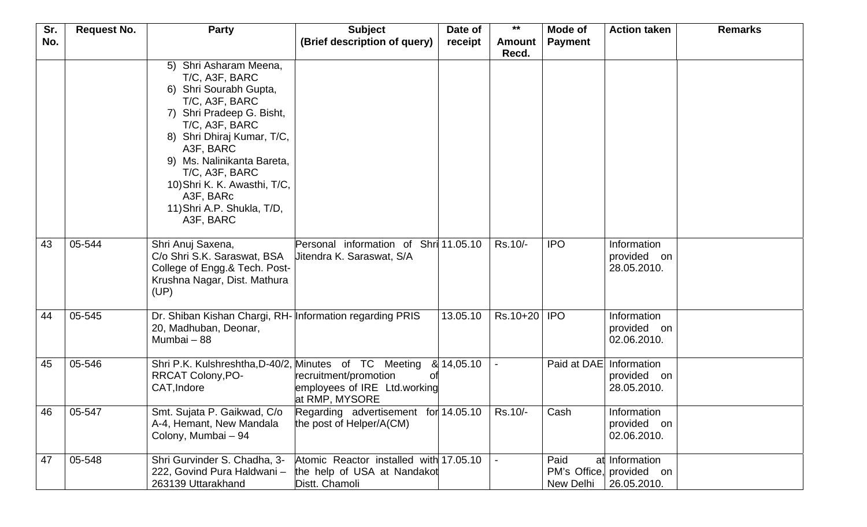| Sr. | <b>Request No.</b> | <b>Party</b>                                                                                                                                                                                                                                                                                                           | <b>Subject</b>                                                                          | Date of    | $***$                  | Mode of           | <b>Action taken</b>                                       | <b>Remarks</b> |
|-----|--------------------|------------------------------------------------------------------------------------------------------------------------------------------------------------------------------------------------------------------------------------------------------------------------------------------------------------------------|-----------------------------------------------------------------------------------------|------------|------------------------|-------------------|-----------------------------------------------------------|----------------|
| No. |                    |                                                                                                                                                                                                                                                                                                                        | (Brief description of query)                                                            | receipt    | <b>Amount</b><br>Recd. | <b>Payment</b>    |                                                           |                |
|     |                    | 5) Shri Asharam Meena,<br>T/C, A3F, BARC<br>6) Shri Sourabh Gupta,<br>T/C, A3F, BARC<br>7) Shri Pradeep G. Bisht,<br>T/C, A3F, BARC<br>8) Shri Dhiraj Kumar, T/C,<br>A3F, BARC<br>9) Ms. Nalinikanta Bareta,<br>T/C, A3F, BARC<br>10) Shri K. K. Awasthi, T/C,<br>A3F, BARc<br>11) Shri A.P. Shukla, T/D,<br>A3F, BARC |                                                                                         |            |                        |                   |                                                           |                |
| 43  | 05-544             | Shri Anuj Saxena,<br>C/o Shri S.K. Saraswat, BSA<br>College of Engg.& Tech. Post-<br>Krushna Nagar, Dist. Mathura<br>(UP)                                                                                                                                                                                              | Personal information of Shri 11.05.10<br>Uitendra K. Saraswat, S/A                      |            | Rs.10/-                | <b>IPO</b>        | Information<br>provided on<br>28.05.2010.                 |                |
| 44  | 05-545             | Dr. Shiban Kishan Chargi, RH- Information regarding PRIS<br>20, Madhuban, Deonar,<br>Mumbai - 88                                                                                                                                                                                                                       |                                                                                         | 13.05.10   | Rs.10+20   IPO         |                   | Information<br>provided on<br>02.06.2010.                 |                |
| 45  | 05-546             | Shri P.K. Kulshreshtha, D-40/2, Minutes of TC Meeting<br><b>RRCAT Colony, PO-</b><br>CAT, Indore                                                                                                                                                                                                                       | recruitment/promotion<br>n1<br>employees of IRE Ltd.working<br>at RMP, MYSORE           | & 14,05.10 |                        | Paid at DAE       | Information<br>provided<br>on<br>28.05.2010.              |                |
| 46  | 05-547             | Smt. Sujata P. Gaikwad, C/o<br>A-4, Hemant, New Mandala<br>Colony, Mumbai - 94                                                                                                                                                                                                                                         | Regarding advertisement for 14.05.10<br>the post of Helper/A(CM)                        |            | Rs.10/-                | Cash              | Information<br>provided on<br>02.06.2010.                 |                |
| 47  | 05-548             | Shri Gurvinder S. Chadha, 3-<br>222, Govind Pura Haldwani -<br>263139 Uttarakhand                                                                                                                                                                                                                                      | Atomic Reactor installed with 17.05.10<br>the help of USA at Nandakot<br>Distt. Chamoli |            |                        | Paid<br>New Delhi | at Information<br>PM's Office, provided on<br>26.05.2010. |                |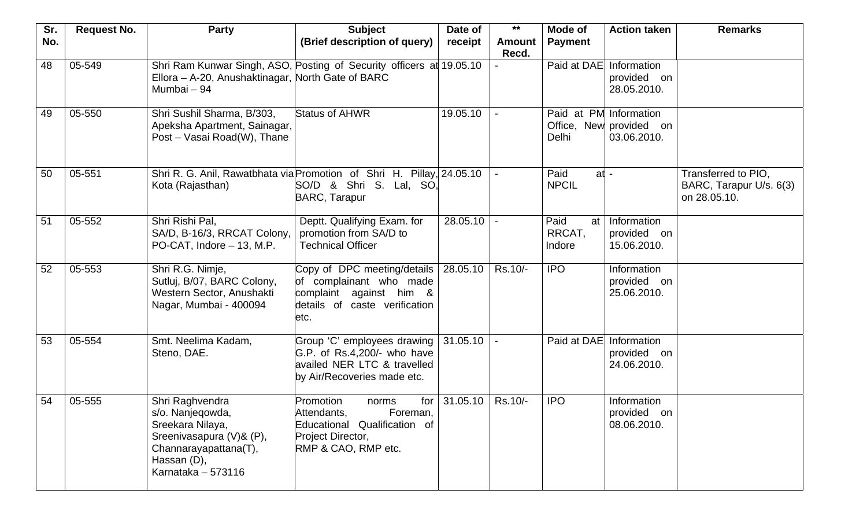| Sr.<br>No. | <b>Request No.</b> | <b>Party</b>                                                                                                                                      | <b>Subject</b><br>(Brief description of query)                                                                                   | Date of<br>receipt | $***$<br><b>Amount</b> | Mode of<br><b>Payment</b>       | <b>Action taken</b>                       | <b>Remarks</b>                                                 |
|------------|--------------------|---------------------------------------------------------------------------------------------------------------------------------------------------|----------------------------------------------------------------------------------------------------------------------------------|--------------------|------------------------|---------------------------------|-------------------------------------------|----------------------------------------------------------------|
|            |                    |                                                                                                                                                   |                                                                                                                                  |                    | Recd.                  |                                 |                                           |                                                                |
| 48         | 05-549             | Shri Ram Kunwar Singh, ASO, Posting of Security officers at 19.05.10<br>Ellora - A-20, Anushaktinagar, North Gate of BARC<br>Mumbai - 94          |                                                                                                                                  |                    |                        | Paid at DAE                     | Information<br>provided on<br>28.05.2010. |                                                                |
| 49         | 05-550             | Shri Sushil Sharma, B/303,<br>Apeksha Apartment, Sainagar,<br>Post - Vasai Road(W), Thane                                                         | <b>Status of AHWR</b>                                                                                                            | 19.05.10           |                        | Paid at PM Information<br>Delhi | Office, New provided on<br>03.06.2010.    |                                                                |
| 50         | 05-551             | Shri R. G. Anil, Rawatbhata via Promotion of Shri H. Pillay, 24.05.10<br>Kota (Rajasthan)                                                         | SO/D & Shri S. Lal, SO,<br><b>BARC, Tarapur</b>                                                                                  |                    |                        | Paid<br>$at -$<br><b>NPCIL</b>  |                                           | Transferred to PIO,<br>BARC, Tarapur U/s. 6(3)<br>on 28.05.10. |
| 51         | 05-552             | Shri Rishi Pal,<br>SA/D, B-16/3, RRCAT Colony,<br>PO-CAT, Indore - 13, M.P.                                                                       | Deptt. Qualifying Exam. for<br>promotion from SA/D to<br><b>Technical Officer</b>                                                | 28.05.10           |                        | Paid<br>at<br>RRCAT,<br>Indore  | Information<br>provided on<br>15.06.2010. |                                                                |
| 52         | 05-553             | Shri R.G. Nimje,<br>Sutluj, B/07, BARC Colony,<br>Western Sector, Anushakti<br>Nagar, Mumbai - 400094                                             | Copy of DPC meeting/details  <br>of complainant who made<br>complaint against him &<br>details of caste verification<br>etc.     | 28.05.10           | Rs.10/-                | <b>IPO</b>                      | Information<br>provided on<br>25.06.2010. |                                                                |
| 53         | 05-554             | Smt. Neelima Kadam,<br>Steno, DAE.                                                                                                                | Group 'C' employees drawing<br>G.P. of Rs.4,200/- who have<br>availed NER LTC & travelled<br>by Air/Recoveries made etc.         | 31.05.10           |                        | Paid at DAE                     | Information<br>provided on<br>24.06.2010. |                                                                |
| 54         | 05-555             | Shri Raghvendra<br>s/o. Nanjeqowda,<br>Sreekara Nilaya,<br>Sreenivasapura (V)& (P),<br>Channarayapattana(T),<br>Hassan (D),<br>Karnataka - 573116 | Promotion<br>for<br>norms<br>Attendants,<br>Foreman,<br>Educational Qualification of<br>Project Director,<br>RMP & CAO, RMP etc. | 31.05.10           | Rs.10/-                | <b>IPO</b>                      | Information<br>provided on<br>08.06.2010. |                                                                |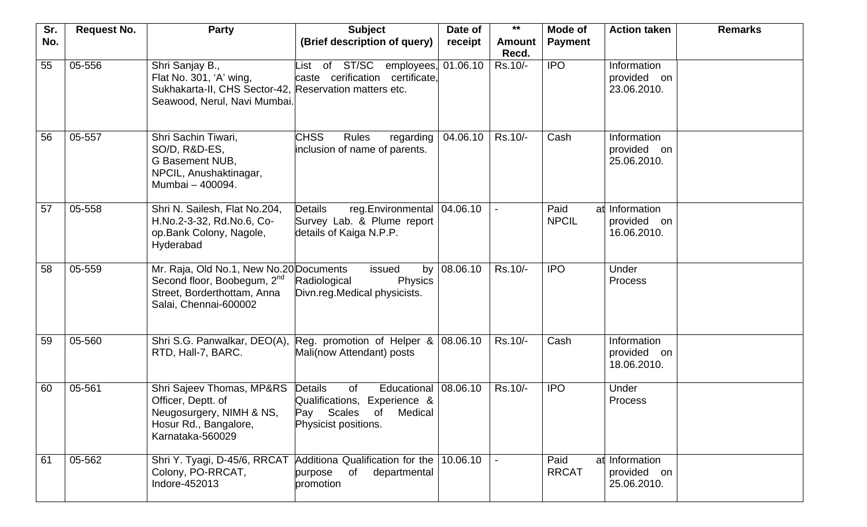| Sr. | <b>Request No.</b> | <b>Party</b>                                                                                                                               | <b>Subject</b>                                                                                                          | Date of       | $***$                  | Mode of                    | <b>Action taken</b>                       | <b>Remarks</b> |
|-----|--------------------|--------------------------------------------------------------------------------------------------------------------------------------------|-------------------------------------------------------------------------------------------------------------------------|---------------|------------------------|----------------------------|-------------------------------------------|----------------|
| No. |                    |                                                                                                                                            | (Brief description of query)                                                                                            | receipt       | <b>Amount</b><br>Recd. | <b>Payment</b>             |                                           |                |
| 55  | 05-556             | Shri Sanjay B.,<br>Flat No. 301, 'A' wing,<br>Sukhakarta-II, CHS Sector-42, Reservation matters etc.<br>Seawood, Nerul, Navi Mumbai.       | of ST/SC<br>employees,<br>∟ist<br>caste cerification certificate.                                                       | 01.06.10      | Rs.10/-                | <b>IPO</b>                 | Information<br>provided on<br>23.06.2010. |                |
| 56  | 05-557             | Shri Sachin Tiwari,<br>SO/D, R&D-ES,<br>G Basement NUB,<br>NPCIL, Anushaktinagar,<br>Mumbai - 400094.                                      | <b>CHSS</b><br><b>Rules</b><br>regarding<br>inclusion of name of parents.                                               | 04.06.10      | Rs.10/-                | Cash                       | Information<br>provided on<br>25.06.2010. |                |
| 57  | 05-558             | Shri N. Sailesh, Flat No.204,<br>H.No.2-3-32, Rd.No.6, Co-<br>op.Bank Colony, Nagole,<br>Hyderabad                                         | reg.Environmental   04.06.10<br><b>Details</b><br>Survey Lab. & Plume report<br>details of Kaiga N.P.P.                 |               |                        | Paid<br>at<br><b>NPCIL</b> | Information<br>provided on<br>16.06.2010. |                |
| 58  | 05-559             | Mr. Raja, Old No.1, New No.20 Documents<br>Second floor, Boobegum, 2 <sup>nd</sup><br>Street, Borderthottam, Anna<br>Salai, Chennai-600002 | issued<br>Radiological<br><b>Physics</b><br>Divn.reg.Medical physicists.                                                | by $08.06.10$ | Rs.10/-                | <b>IPO</b>                 | Under<br><b>Process</b>                   |                |
| 59  | 05-560             | Shri S.G. Panwalkar, DEO(A),<br>RTD, Hall-7, BARC.                                                                                         | Reg. promotion of Helper $\&$ 08.06.10<br>Mali(now Attendant) posts                                                     |               | Rs.10/-                | Cash                       | Information<br>provided on<br>18.06.2010. |                |
| 60  | 05-561             | Shri Sajeev Thomas, MP&RS<br>Officer, Deptt. of<br>Neugosurgery, NIMH & NS,<br>Hosur Rd., Bangalore,<br>Karnataka-560029                   | <b>Details</b><br>of<br>Educational<br>Qualifications, Experience &<br>Pay Scales of<br>Medical<br>Physicist positions. | 08.06.10      | Rs.10/-                | <b>IPO</b>                 | Under<br><b>Process</b>                   |                |
| 61  | 05-562             | Shri Y. Tyagi, D-45/6, RRCAT<br>Colony, PO-RRCAT,<br>Indore-452013                                                                         | Additiona Qualification for the<br>of<br>departmental<br>purpose<br>promotion                                           | 10.06.10      |                        | Paid<br>at<br><b>RRCAT</b> | Information<br>provided on<br>25.06.2010. |                |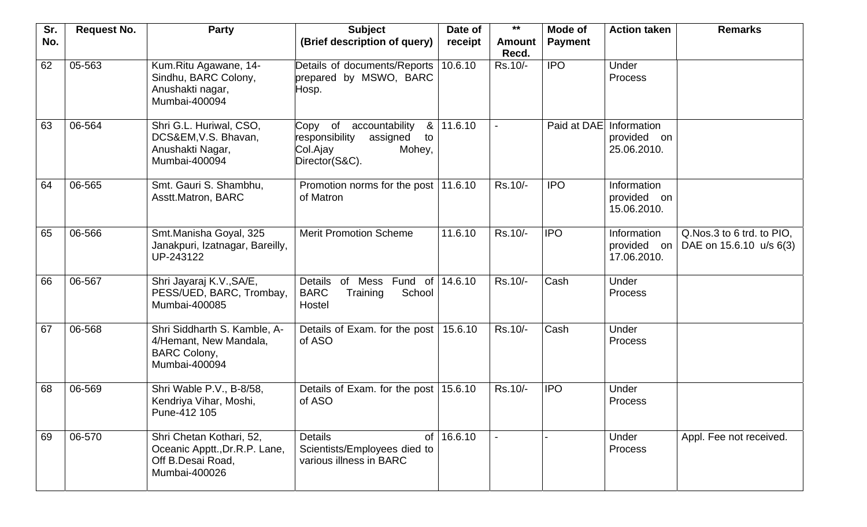| Sr. | <b>Request No.</b> | <b>Party</b>                                                                                    | <b>Subject</b>                                                                                                             | Date of | $***$                  | Mode of        | <b>Action taken</b>                       | <b>Remarks</b>                                       |
|-----|--------------------|-------------------------------------------------------------------------------------------------|----------------------------------------------------------------------------------------------------------------------------|---------|------------------------|----------------|-------------------------------------------|------------------------------------------------------|
| No. |                    |                                                                                                 | (Brief description of query)                                                                                               | receipt | <b>Amount</b><br>Recd. | <b>Payment</b> |                                           |                                                      |
| 62  | 05-563             | Kum.Ritu Agawane, 14-<br>Sindhu, BARC Colony,<br>Anushakti nagar,<br>Mumbai-400094              | Details of documents/Reports<br>prepared by MSWO, BARC<br>Hosp.                                                            | 10.6.10 | Rs.10/-                | <b>IPO</b>     | Under<br><b>Process</b>                   |                                                      |
| 63  | 06-564             | Shri G.L. Huriwal, CSO,<br>DCS&EM, V.S. Bhavan,<br>Anushakti Nagar,<br>Mumbai-400094            | Copy<br>of<br>accountability<br>8 <sub>l</sub><br>responsibility<br>assigned<br>to<br>Col.Ajay<br>Mohey,<br>Director(S&C). | 11.6.10 |                        | Paid at DAE    | Information<br>provided on<br>25.06.2010. |                                                      |
| 64  | 06-565             | Smt. Gauri S. Shambhu,<br>Asstt.Matron, BARC                                                    | Promotion norms for the post  <br>of Matron                                                                                | 11.6.10 | Rs.10/-                | <b>IPO</b>     | Information<br>provided on<br>15.06.2010. |                                                      |
| 65  | 06-566             | Smt.Manisha Goyal, 325<br>Janakpuri, Izatnagar, Bareilly,<br>UP-243122                          | <b>Merit Promotion Scheme</b>                                                                                              | 11.6.10 | Rs.10/-                | <b>IPO</b>     | Information<br>provided on<br>17.06.2010. | Q.Nos.3 to 6 trd. to PIO,<br>DAE on 15.6.10 u/s 6(3) |
| 66  | 06-567             | Shri Jayaraj K.V., SA/E,<br>PESS/UED, BARC, Trombay,<br>Mumbai-400085                           | Details<br>Mess<br>Fund of<br>of<br><b>BARC</b><br>School<br>Training<br>Hostel                                            | 14.6.10 | Rs.10/-                | Cash           | Under<br><b>Process</b>                   |                                                      |
| 67  | 06-568             | Shri Siddharth S. Kamble, A-<br>4/Hemant, New Mandala,<br><b>BARC Colony,</b><br>Mumbai-400094  | Details of Exam. for the post<br>of ASO                                                                                    | 15.6.10 | Rs.10/-                | Cash           | Under<br><b>Process</b>                   |                                                      |
| 68  | 06-569             | Shri Wable P.V., B-8/58,<br>Kendriya Vihar, Moshi,<br>Pune-412 105                              | Details of Exam. for the post<br>of ASO                                                                                    | 15.6.10 | Rs.10/-                | <b>IPO</b>     | Under<br><b>Process</b>                   |                                                      |
| 69  | 06-570             | Shri Chetan Kothari, 52,<br>Oceanic Apptt., Dr.R.P. Lane,<br>Off B.Desai Road,<br>Mumbai-400026 | <b>Details</b><br>of<br>Scientists/Employees died to<br>various illness in BARC                                            | 16.6.10 |                        |                | Under<br><b>Process</b>                   | Appl. Fee not received.                              |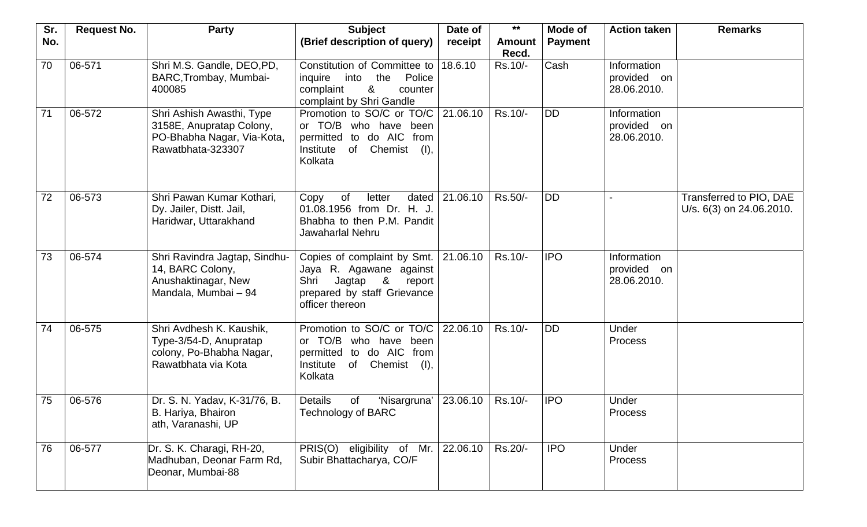| Sr. | <b>Request No.</b> | <b>Party</b>                                                                                             | <b>Subject</b>                                                                                                                                       | Date of  | $***$           | Mode of        | <b>Action taken</b>                       | <b>Remarks</b>                                      |
|-----|--------------------|----------------------------------------------------------------------------------------------------------|------------------------------------------------------------------------------------------------------------------------------------------------------|----------|-----------------|----------------|-------------------------------------------|-----------------------------------------------------|
| No. |                    |                                                                                                          | (Brief description of query)                                                                                                                         | receipt  | Amount<br>Recd. | <b>Payment</b> |                                           |                                                     |
| 70  | 06-571             | Shri M.S. Gandle, DEO, PD,<br>BARC, Trombay, Mumbai-<br>400085                                           | Constitution of Committee to<br>the<br>Police<br>inquire into<br>&<br>complaint<br>counter<br>complaint by Shri Gandle                               | 18.6.10  | Rs.10/-         | Cash           | Information<br>provided on<br>28.06.2010. |                                                     |
| 71  | 06-572             | Shri Ashish Awasthi, Type<br>3158E, Anupratap Colony,<br>PO-Bhabha Nagar, Via-Kota,<br>Rawatbhata-323307 | Promotion to SO/C or TO/C<br>or TO/B who have been<br>permitted to do AIC<br>from<br>Institute<br>of Chemist<br>$( )$ ,<br>Kolkata                   | 21.06.10 | Rs.10/-         | <b>DD</b>      | Information<br>provided on<br>28.06.2010. |                                                     |
| 72  | 06-573             | Shri Pawan Kumar Kothari,<br>Dy. Jailer, Distt. Jail,<br>Haridwar, Uttarakhand                           | 0f<br>dated<br>Copy<br>letter<br>01.08.1956 from Dr. H. J.<br>Bhabha to then P.M. Pandit<br>Jawaharlal Nehru                                         | 21.06.10 | Rs.50/-         | <b>IDD</b>     |                                           | Transferred to PIO, DAE<br>U/s. 6(3) on 24.06.2010. |
| 73  | 06-574             | Shri Ravindra Jagtap, Sindhu-<br>14, BARC Colony,<br>Anushaktinagar, New<br>Mandala, Mumbai - 94         | Copies of complaint by Smt.   21.06.10<br>Jaya R. Agawane against<br>Shri<br>Jagtap<br>8<br>report<br>prepared by staff Grievance<br>officer thereon |          | Rs.10/-         | <b>IPO</b>     | Information<br>provided on<br>28.06.2010. |                                                     |
| 74  | 06-575             | Shri Avdhesh K. Kaushik,<br>Type-3/54-D, Anupratap<br>colony, Po-Bhabha Nagar,<br>Rawatbhata via Kota    | Promotion to SO/C or TO/C<br>or TO/B who have<br>been<br>permitted to do AIC<br>from<br>of<br>Chemist<br>Institute<br>(1),<br>Kolkata                | 22.06.10 | Rs.10/-         | <b>IDD</b>     | Under<br><b>Process</b>                   |                                                     |
| 75  | 06-576             | Dr. S. N. Yadav, K-31/76, B.<br>B. Hariya, Bhairon<br>ath, Varanashi, UP                                 | <b>Details</b><br>'Nisargruna'<br>0f<br>Technology of BARC                                                                                           | 23.06.10 | Rs.10/-         | <b>IPO</b>     | Under<br>Process                          |                                                     |
| 76  | 06-577             | Dr. S. K. Charagi, RH-20,<br>Madhuban, Deonar Farm Rd,<br>Deonar, Mumbai-88                              | PRIS(O) eligibility of Mr.<br>Subir Bhattacharya, CO/F                                                                                               | 22.06.10 | Rs.20/-         | <b>IPO</b>     | Under<br>Process                          |                                                     |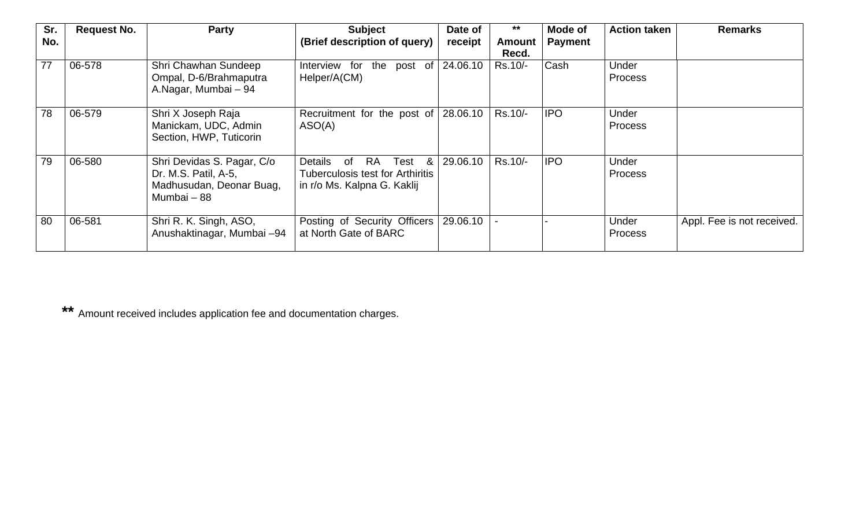| Sr.<br>No. | <b>Request No.</b> | <b>Party</b>                                                                                  | <b>Subject</b><br>(Brief description of query)                                                          | Date of<br>receipt | $***$<br><b>Amount</b> | Mode of<br><b>Payment</b> | <b>Action taken</b>     | <b>Remarks</b>             |
|------------|--------------------|-----------------------------------------------------------------------------------------------|---------------------------------------------------------------------------------------------------------|--------------------|------------------------|---------------------------|-------------------------|----------------------------|
|            |                    |                                                                                               |                                                                                                         |                    | Recd.                  |                           |                         |                            |
| 77         | 06-578             | Shri Chawhan Sundeep<br>Ompal, D-6/Brahmaputra<br>A.Nagar, Mumbai - 94                        | Interview for the post of 24.06.10<br>Helper/A(CM)                                                      |                    | Rs.10/-                | <b>Cash</b>               | Under<br><b>Process</b> |                            |
| 78         | 06-579             | Shri X Joseph Raja<br>Manickam, UDC, Admin<br>Section, HWP, Tuticorin                         | Recruitment for the post of 28.06.10<br>ASO(A)                                                          |                    | Rs.10/-                | <b>IPO</b>                | Under<br><b>Process</b> |                            |
| 79         | 06-580             | Shri Devidas S. Pagar, C/o<br>Dr. M.S. Patil, A-5,<br>Madhusudan, Deonar Buag,<br>Mumbai - 88 | Details<br>RA Test<br>&<br>of<br><b>Tuberculosis test for Arthiritis</b><br>in r/o Ms. Kalpna G. Kaklij | 29.06.10           | Rs.10/-                | <b>IPO</b>                | Under<br><b>Process</b> |                            |
| 80         | 06-581             | Shri R. K. Singh, ASO,<br>Anushaktinagar, Mumbai -94                                          | Posting of Security Officers<br>at North Gate of BARC                                                   | 29.06.10           |                        |                           | Under<br><b>Process</b> | Appl. Fee is not received. |

**\*\*** Amount received includes application fee and documentation charges.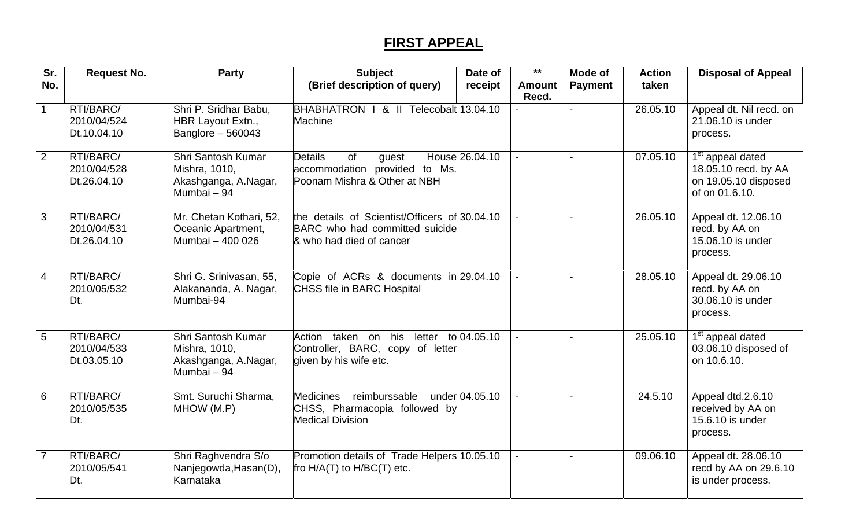## **FIRST APPEAL**

| Sr.            | <b>Request No.</b>                      | Party                                                                      | <b>Subject</b>                                                                                              | Date of        | $***$                  | <b>Mode of</b> | <b>Action</b> | <b>Disposal of Appeal</b>                                                                      |
|----------------|-----------------------------------------|----------------------------------------------------------------------------|-------------------------------------------------------------------------------------------------------------|----------------|------------------------|----------------|---------------|------------------------------------------------------------------------------------------------|
| No.            |                                         |                                                                            | (Brief description of query)                                                                                | receipt        | <b>Amount</b><br>Recd. | <b>Payment</b> | taken         |                                                                                                |
| $\mathbf{1}$   | RTI/BARC/<br>2010/04/524<br>Dt.10.04.10 | Shri P. Sridhar Babu,<br>HBR Layout Extn.,<br>Banglore $-560043$           | BHABHATRON   & II Telecobalt 13.04.10<br><b>Machine</b>                                                     |                |                        |                | 26.05.10      | Appeal dt. Nil recd. on<br>21.06.10 is under<br>process.                                       |
| $\overline{2}$ | RTI/BARC/<br>2010/04/528<br>Dt.26.04.10 | Shri Santosh Kumar<br>Mishra, 1010,<br>Akashganga, A.Nagar,<br>Mumbai - 94 | <b>Details</b><br><b>of</b><br>guest<br>accommodation provided to Ms.<br>Poonam Mishra & Other at NBH       | House 26.04.10 |                        |                | 07.05.10      | 1 <sup>st</sup> appeal dated<br>18.05.10 recd. by AA<br>on 19.05.10 disposed<br>of on 01.6.10. |
| 3              | RTI/BARC/<br>2010/04/531<br>Dt.26.04.10 | Mr. Chetan Kothari, 52,<br>Oceanic Apartment,<br>Mumbai - 400 026          | the details of Scientist/Officers of 30.04.10<br>BARC who had committed suicide<br>& who had died of cancer |                |                        |                | 26.05.10      | Appeal dt. 12.06.10<br>recd. by AA on<br>15.06.10 is under<br>process.                         |
| 4              | RTI/BARC/<br>2010/05/532<br>Dt.         | Shri G. Srinivasan, 55,<br>Alakananda, A. Nagar,<br>Mumbai-94              | Copie of ACRs & documents in 29.04.10<br>CHSS file in BARC Hospital                                         |                |                        |                | 28.05.10      | Appeal dt. 29.06.10<br>recd. by AA on<br>30.06.10 is under<br>process.                         |
| 5              | RTI/BARC/<br>2010/04/533<br>Dt.03.05.10 | Shri Santosh Kumar<br>Mishra, 1010,<br>Akashganga, A.Nagar,<br>Mumbai - 94 | Action taken on<br>his<br>letter<br>Controller, BARC, copy of letter<br>given by his wife etc.              | to 04.05.10    |                        |                | 25.05.10      | 1 <sup>st</sup> appeal dated<br>03.06.10 disposed of<br>on 10.6.10.                            |
| 6              | RTI/BARC/<br>2010/05/535<br>Dt.         | Smt. Suruchi Sharma,<br>MHOW (M.P)                                         | <b>Medicines</b><br>reimburssable<br>CHSS, Pharmacopia followed by<br><b>Medical Division</b>               | under 04.05.10 |                        |                | 24.5.10       | Appeal dtd.2.6.10<br>received by AA on<br>15.6.10 is under<br>process.                         |
| $\overline{7}$ | RTI/BARC/<br>2010/05/541<br>Dt.         | Shri Raghvendra S/o<br>Nanjegowda, Hasan(D),<br>Karnataka                  | Promotion details of Trade Helpers 10.05.10<br>fro H/A(T) to H/BC(T) etc.                                   |                |                        |                | 09.06.10      | Appeal dt. 28.06.10<br>recd by AA on 29.6.10<br>is under process.                              |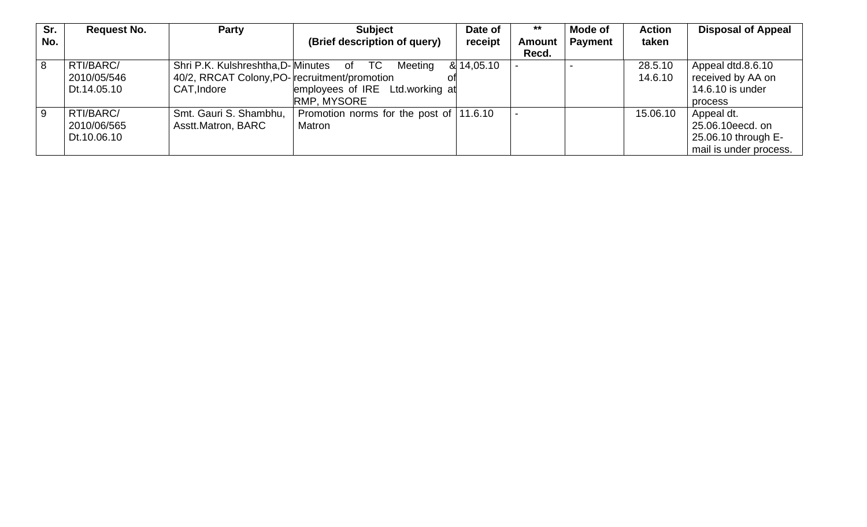| Sr. | <b>Request No.</b> | Party                                         | <b>Subject</b>                          | Date of    | $***$         | <b>Mode of</b> | <b>Action</b> | <b>Disposal of Appeal</b> |
|-----|--------------------|-----------------------------------------------|-----------------------------------------|------------|---------------|----------------|---------------|---------------------------|
| No. |                    |                                               | (Brief description of query)            | receipt    | <b>Amount</b> | <b>Payment</b> | taken         |                           |
|     |                    |                                               |                                         |            | Recd.         |                |               |                           |
| 8   | RTI/BARC/          | Shri P.K. Kulshreshtha, D-Minutes of          | TC<br>Meeting                           | & 14,05.10 |               |                | 28.5.10       | Appeal dtd.8.6.10         |
|     | 2010/05/546        | 40/2, RRCAT Colony, PO- recruitment/promotion |                                         |            |               |                | 14.6.10       | received by AA on         |
|     | Dt.14.05.10        | CAT, Indore                                   | employees of IRE Ltd.working at         |            |               |                |               | 14.6.10 is under          |
|     |                    |                                               | <b>RMP, MYSORE</b>                      |            |               |                |               | process                   |
| 9   | RTI/BARC/          | Smt. Gauri S. Shambhu,                        | Promotion norms for the post of 11.6.10 |            |               |                | 15.06.10      | Appeal dt.                |
|     | 2010/06/565        | Asstt.Matron, BARC                            | Matron                                  |            |               |                |               | 25.06.10eecd. on          |
|     | Dt.10.06.10        |                                               |                                         |            |               |                |               | 25.06.10 through E-       |
|     |                    |                                               |                                         |            |               |                |               | mail is under process.    |